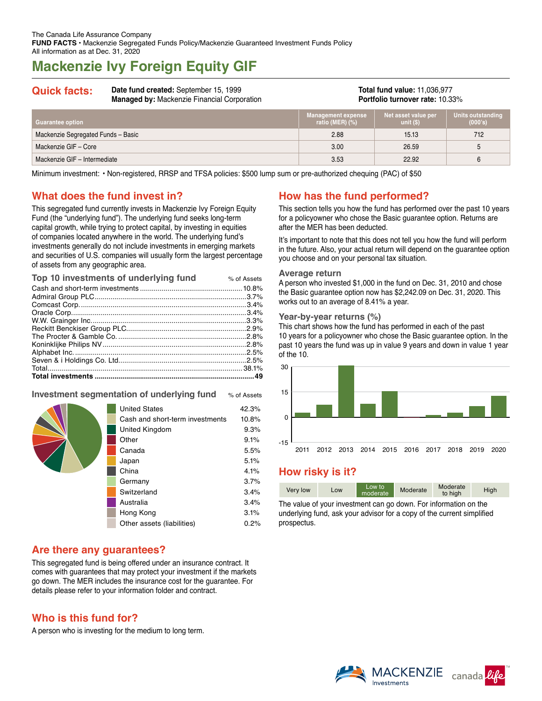# **Mackenzie Ivy Foreign Equity GIF**

## **Quick facts: Date fund created:** September 15, 1999

**Managed by:** Mackenzie Financial Corporation

**Total fund value:** 11,036,977 **Portfolio turnover rate:** 10.33%

| Guarantee option                   | <b>Management expense</b><br>ratio (MER) (%) | Net asset value per<br>unit $(S)$ | Units outstanding<br>(000's) |
|------------------------------------|----------------------------------------------|-----------------------------------|------------------------------|
| Mackenzie Segregated Funds - Basic | 2.88                                         | 15.13                             | 712                          |
| Mackenzie GIF - Core               | 3.00                                         | 26.59                             | 5                            |
| Mackenzie GIF - Intermediate       | 3.53                                         | 22.92                             | 6                            |

Minimum investment: • Non-registered, RRSP and TFSA policies: \$500 lump sum or pre-authorized chequing (PAC) of \$50

### **What does the fund invest in?**

This segregated fund currently invests in Mackenzie Ivy Foreign Equity Fund (the "underlying fund"). The underlying fund seeks long-term capital growth, while trying to protect capital, by investing in equities of companies located anywhere in the world. The underlying fund's investments generally do not include investments in emerging markets and securities of U.S. companies will usually form the largest percentage of assets from any geographic area.

| Top 10 investments of underlying fund | % of Assets |
|---------------------------------------|-------------|
|                                       |             |
|                                       |             |
|                                       |             |
|                                       |             |
|                                       |             |
|                                       |             |
|                                       |             |
|                                       |             |
|                                       |             |
|                                       |             |
|                                       |             |
|                                       | .49         |

#### **Investment segmentation of underlying fund** % of Assets

|  | <b>United States</b>            | 42.3% |
|--|---------------------------------|-------|
|  | Cash and short-term investments | 10.8% |
|  | United Kingdom                  | 9.3%  |
|  | Other                           | 9.1%  |
|  | Canada                          | 5.5%  |
|  | Japan                           | 5.1%  |
|  | China                           | 4.1%  |
|  | Germany                         | 3.7%  |
|  | Switzerland                     | 3.4%  |
|  | Australia                       | 3.4%  |
|  | Hong Kong                       | 3.1%  |
|  | Other assets (liabilities)      | 0.2%  |
|  |                                 |       |

### **Are there any guarantees?**

This segregated fund is being offered under an insurance contract. It comes with guarantees that may protect your investment if the markets go down. The MER includes the insurance cost for the guarantee. For details please refer to your information folder and contract.

### **Who is this fund for?**

A person who is investing for the medium to long term.

### **How has the fund performed?**

This section tells you how the fund has performed over the past 10 years for a policyowner who chose the Basic guarantee option. Returns are after the MER has been deducted.

It's important to note that this does not tell you how the fund will perform in the future. Also, your actual return will depend on the guarantee option you choose and on your personal tax situation.

#### **Average return**

A person who invested \$1,000 in the fund on Dec. 31, 2010 and chose the Basic guarantee option now has \$2,242.09 on Dec. 31, 2020. This works out to an average of 8.41% a year.

#### **Year-by-year returns (%)**

This chart shows how the fund has performed in each of the past 10 years for a policyowner who chose the Basic guarantee option. In the past 10 years the fund was up in value 9 years and down in value 1 year of the 10.



### **How risky is it?**

| Moderate<br>Low to<br>Moderate<br>High<br>Very low<br>Low<br>moderate<br>to high |
|----------------------------------------------------------------------------------|
|----------------------------------------------------------------------------------|

The value of your investment can go down. For information on the underlying fund, ask your advisor for a copy of the current simplified prospectus.